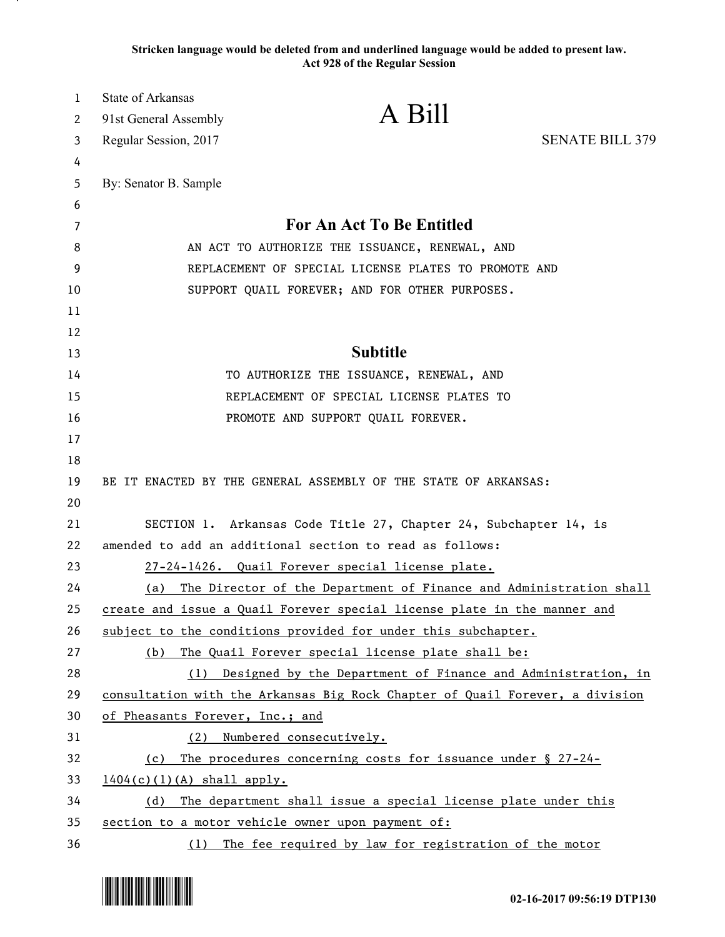**Stricken language would be deleted from and underlined language would be added to present law. Act 928 of the Regular Session**

| $\mathbf{1}$ | State of Arkansas               |                                                                              |                        |
|--------------|---------------------------------|------------------------------------------------------------------------------|------------------------|
| 2            | 91st General Assembly           | A Bill                                                                       |                        |
| 3            | Regular Session, 2017           |                                                                              | <b>SENATE BILL 379</b> |
| 4            |                                 |                                                                              |                        |
| 5            | By: Senator B. Sample           |                                                                              |                        |
| 6            |                                 |                                                                              |                        |
| 7            |                                 | For An Act To Be Entitled                                                    |                        |
| 8            |                                 | AN ACT TO AUTHORIZE THE ISSUANCE, RENEWAL, AND                               |                        |
| 9            |                                 | REPLACEMENT OF SPECIAL LICENSE PLATES TO PROMOTE AND                         |                        |
| 10           |                                 | SUPPORT QUAIL FOREVER; AND FOR OTHER PURPOSES.                               |                        |
| 11           |                                 |                                                                              |                        |
| 12           |                                 |                                                                              |                        |
| 13           |                                 | <b>Subtitle</b>                                                              |                        |
| 14           |                                 | TO AUTHORIZE THE ISSUANCE, RENEWAL, AND                                      |                        |
| 15           |                                 | REPLACEMENT OF SPECIAL LICENSE PLATES TO                                     |                        |
| 16           |                                 | PROMOTE AND SUPPORT QUAIL FOREVER.                                           |                        |
| 17           |                                 |                                                                              |                        |
| 18           |                                 |                                                                              |                        |
| 19           |                                 | BE IT ENACTED BY THE GENERAL ASSEMBLY OF THE STATE OF ARKANSAS:              |                        |
| 20           |                                 |                                                                              |                        |
| 21           |                                 | SECTION 1. Arkansas Code Title 27, Chapter 24, Subchapter 14, is             |                        |
| 22           |                                 | amended to add an additional section to read as follows:                     |                        |
| 23           |                                 | 27-24-1426. Quail Forever special license plate.                             |                        |
| 24           | (a)                             | The Director of the Department of Finance and Administration shall           |                        |
| 25           |                                 | create and issue a Quail Forever special license plate in the manner and     |                        |
| 26           |                                 | subject to the conditions provided for under this subchapter.                |                        |
| 27           | (b)                             | The Quail Forever special license plate shall be:                            |                        |
| 28           |                                 | (1) Designed by the Department of Finance and Administration, in             |                        |
| 29           |                                 | consultation with the Arkansas Big Rock Chapter of Quail Forever, a division |                        |
| 30           | of Pheasants Forever, Inc.; and |                                                                              |                        |
| 31           | (2)                             | Numbered consecutively.                                                      |                        |
| 32           |                                 | (c) The procedures concerning costs for issuance under § 27-24-              |                        |
| 33           | $1404(c)(1)(A)$ shall apply.    |                                                                              |                        |
| 34           |                                 | (d) The department shall issue a special license plate under this            |                        |
| 35           |                                 | section to a motor vehicle owner upon payment of:                            |                        |
| 36           |                                 | (1) The fee required by law for registration of the motor                    |                        |

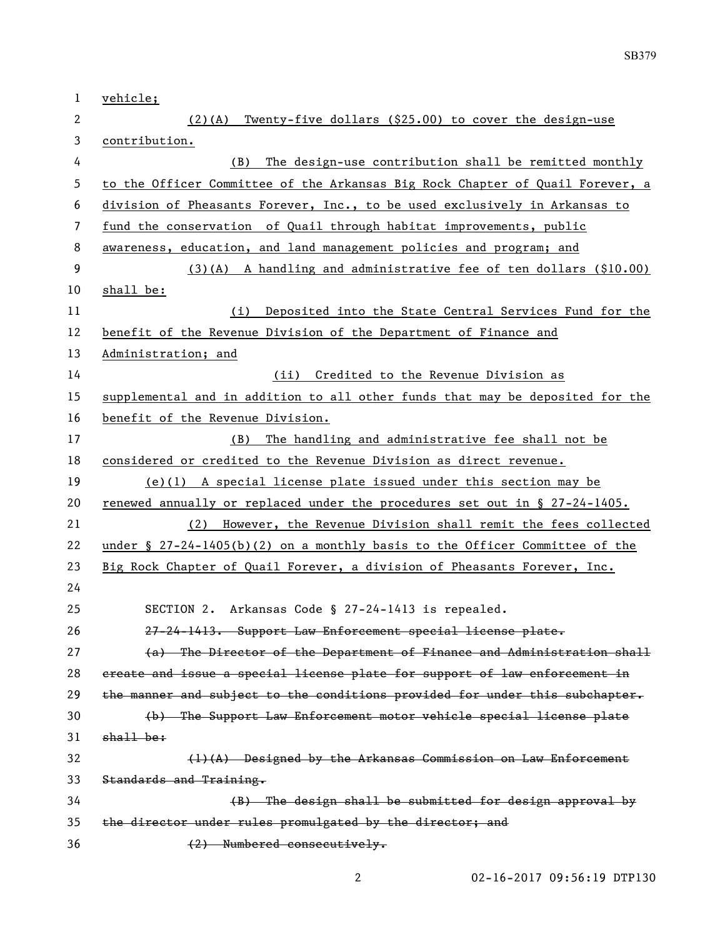| $\mathbf{1}$   | vehicle;                                                                      |  |  |
|----------------|-------------------------------------------------------------------------------|--|--|
| $\mathbf{2}$   | $(2)(A)$ Twenty-five dollars $(§25.00)$ to cover the design-use               |  |  |
| 3              | contribution.                                                                 |  |  |
| 4              | The design-use contribution shall be remitted monthly<br>(B)                  |  |  |
| 5              | to the Officer Committee of the Arkansas Big Rock Chapter of Quail Forever, a |  |  |
| 6              | division of Pheasants Forever, Inc., to be used exclusively in Arkansas to    |  |  |
| $\overline{7}$ | fund the conservation of Quail through habitat improvements, public           |  |  |
| 8              | awareness, education, and land management policies and program; and           |  |  |
| 9              | $(3)(A)$ A handling and administrative fee of ten dollars $(\$10.00)$         |  |  |
| 10             | shall be:                                                                     |  |  |
| 11             | (i) Deposited into the State Central Services Fund for the                    |  |  |
| 12             | benefit of the Revenue Division of the Department of Finance and              |  |  |
| 13             | Administration; and                                                           |  |  |
| 14             | (ii) Credited to the Revenue Division as                                      |  |  |
| 15             | supplemental and in addition to all other funds that may be deposited for the |  |  |
| 16             | benefit of the Revenue Division.                                              |  |  |
| 17             | (B) The handling and administrative fee shall not be                          |  |  |
| 18             | considered or credited to the Revenue Division as direct revenue.             |  |  |
| 19             | $(e)(1)$ A special license plate issued under this section may be             |  |  |
| 20             | renewed annually or replaced under the procedures set out in § 27-24-1405.    |  |  |
| 21             | (2) However, the Revenue Division shall remit the fees collected              |  |  |
| 22             | under § $27-24-1405(b)(2)$ on a monthly basis to the Officer Committee of the |  |  |
| 23             | Big Rock Chapter of Quail Forever, a division of Pheasants Forever, Inc.      |  |  |
| 24             |                                                                               |  |  |
| 25             | SECTION 2. Arkansas Code § 27-24-1413 is repealed.                            |  |  |
| 26             | 27-24-1413. Support Law Enforcement special license plate.                    |  |  |
| 27             | (a) The Director of the Department of Finance and Administration shall        |  |  |
| 28             | ereate and issue a special license plate for support of law enforcement in    |  |  |
| 29             | the manner and subject to the conditions provided for under this subchapter.  |  |  |
| 30             | (b) The Support Law Enforcement motor vehicle special license plate           |  |  |
| 31             | shall be:                                                                     |  |  |
| 32             | $(1)$ $(A)$ Designed by the Arkansas Commission on Law Enforcement            |  |  |
| 33             | Standards and Training.                                                       |  |  |
| 34             | (B) The design shall be submitted for design approval by                      |  |  |
| 35             | the director under rules promulgated by the director; and                     |  |  |
| 36             | (2) Numbered consecutively.                                                   |  |  |